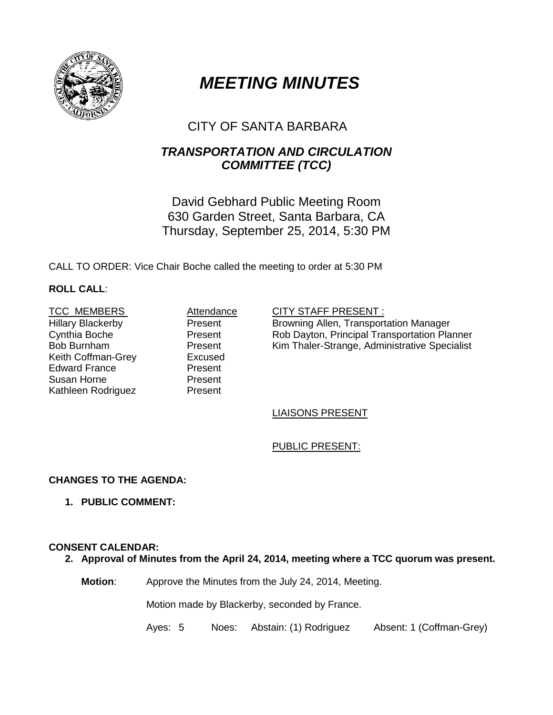

# *MEETING MINUTES*

# CITY OF SANTA BARBARA

# *TRANSPORTATION AND CIRCULATION COMMITTEE (TCC)*

David Gebhard Public Meeting Room 630 Garden Street, Santa Barbara, CA Thursday, September 25, 2014, 5:30 PM

CALL TO ORDER: Vice Chair Boche called the meeting to order at 5:30 PM

# **ROLL CALL**:

Hillary Blackerby Cynthia Boche Bob Burnham Keith Coffman-Grey **Excused**<br>Edward France **Excused** Edward France Susan Horne Kathleen Rodriguez

Present Present Present<br>Excused Present Present

#### TCC MEMBERS **Attendance** CITY STAFF PRESENT :

Browning Allen, Transportation Manager Rob Dayton, Principal Transportation Planner Kim Thaler-Strange, Administrative Specialist

## LIAISONS PRESENT

# PUBLIC PRESENT:

# **CHANGES TO THE AGENDA:**

**1. PUBLIC COMMENT:**

## **CONSENT CALENDAR:**

**2. Approval of Minutes from the April 24, 2014, meeting where a TCC quorum was present.** 

**Motion**: Approve the Minutes from the July 24, 2014, Meeting.

Motion made by Blackerby, seconded by France.

Ayes: 5 Noes: Abstain: (1) RodriguezAbsent: 1 (Coffman-Grey)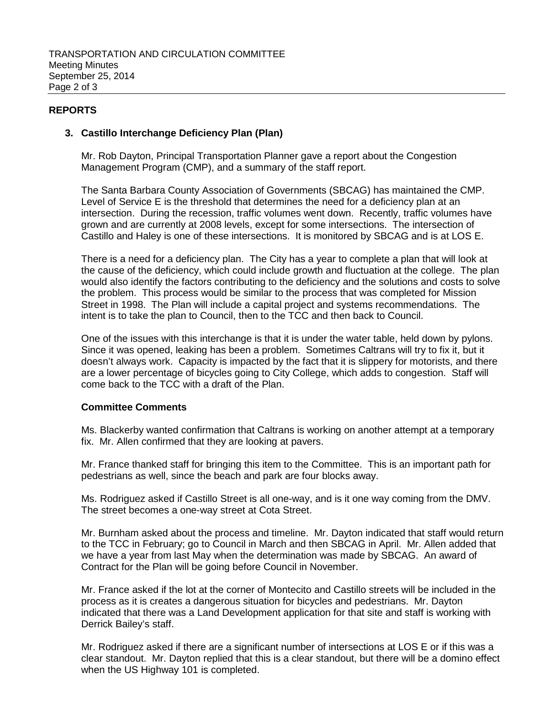## **REPORTS**

#### **3. Castillo Interchange Deficiency Plan (Plan)**

Mr. Rob Dayton, Principal Transportation Planner gave a report about the Congestion Management Program (CMP), and a summary of the staff report.

The Santa Barbara County Association of Governments (SBCAG) has maintained the CMP. Level of Service E is the threshold that determines the need for a deficiency plan at an intersection. During the recession, traffic volumes went down. Recently, traffic volumes have grown and are currently at 2008 levels, except for some intersections. The intersection of Castillo and Haley is one of these intersections. It is monitored by SBCAG and is at LOS E.

There is a need for a deficiency plan. The City has a year to complete a plan that will look at the cause of the deficiency, which could include growth and fluctuation at the college. The plan would also identify the factors contributing to the deficiency and the solutions and costs to solve the problem. This process would be similar to the process that was completed for Mission Street in 1998. The Plan will include a capital project and systems recommendations. The intent is to take the plan to Council, then to the TCC and then back to Council.

One of the issues with this interchange is that it is under the water table, held down by pylons. Since it was opened, leaking has been a problem. Sometimes Caltrans will try to fix it, but it doesn't always work. Capacity is impacted by the fact that it is slippery for motorists, and there are a lower percentage of bicycles going to City College, which adds to congestion. Staff will come back to the TCC with a draft of the Plan.

#### **Committee Comments**

Ms. Blackerby wanted confirmation that Caltrans is working on another attempt at a temporary fix. Mr. Allen confirmed that they are looking at pavers.

Mr. France thanked staff for bringing this item to the Committee. This is an important path for pedestrians as well, since the beach and park are four blocks away.

Ms. Rodriguez asked if Castillo Street is all one-way, and is it one way coming from the DMV. The street becomes a one-way street at Cota Street.

Mr. Burnham asked about the process and timeline. Mr. Dayton indicated that staff would return to the TCC in February; go to Council in March and then SBCAG in April. Mr. Allen added that we have a year from last May when the determination was made by SBCAG. An award of Contract for the Plan will be going before Council in November.

Mr. France asked if the lot at the corner of Montecito and Castillo streets will be included in the process as it is creates a dangerous situation for bicycles and pedestrians. Mr. Dayton indicated that there was a Land Development application for that site and staff is working with Derrick Bailey's staff.

Mr. Rodriguez asked if there are a significant number of intersections at LOS E or if this was a clear standout. Mr. Dayton replied that this is a clear standout, but there will be a domino effect when the US Highway 101 is completed.